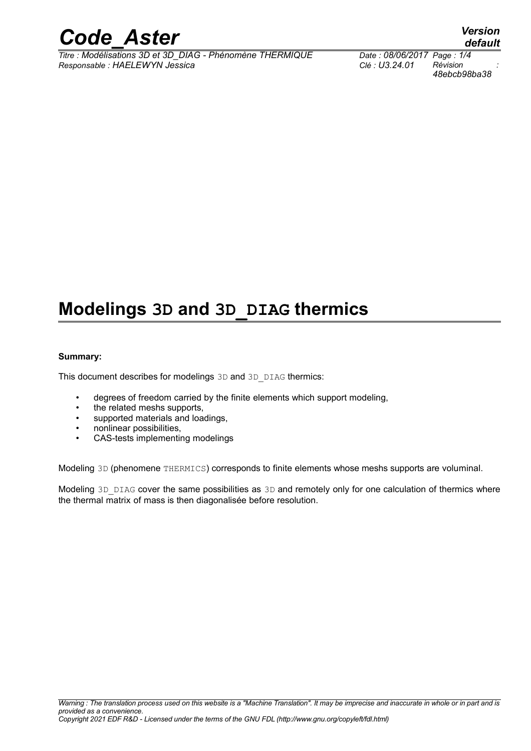

*Titre : Modélisations 3D et 3D\_DIAG - Phénomène THERMIQUE Date : 08/06/2017 Page : 1/4 Responsable : HAELEWYN Jessica Clé : U3.24.01 Révision :*

*48ebcb98ba38*

## **Modelings 3D and 3D\_DIAG thermics**

#### **Summary:**

This document describes for modelings 3D and 3D DIAG thermics:

- degrees of freedom carried by the finite elements which support modeling,
- the related meshs supports,
- supported materials and loadings,
- nonlinear possibilities,
- CAS-tests implementing modelings

Modeling 3D (phenomene THERMICS) corresponds to finite elements whose meshs supports are voluminal.

Modeling 3D DIAG cover the same possibilities as 3D and remotely only for one calculation of thermics where the thermal matrix of mass is then diagonalisée before resolution.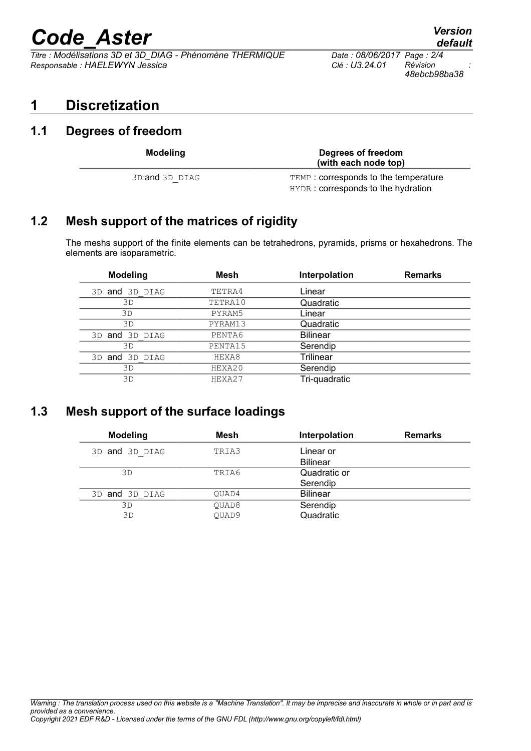# *Code\_Aster Version*<br>*Titre : Modélisations 3D et 3D DIAG - Phénomène THERMIQUE Date : 08/06/2017 Page : 2/4*

*Titre : Modélisations 3D et 3D\_DIAG - Phénomène THERMIQUE Date : 08/06/2017 Page : 2/4 Responsable : HAELEWYN Jessica Clé : U3.24.01 Révision :*

## **1 Discretization**

### **1.1 Degrees of freedom**

| <b>Modeling</b>      |  |
|----------------------|--|
| REE OR <b>And</b> an |  |

**Modeling Degrees of freedom**

3D and 3D\_DIAG TEMP : corresponds to the temperature HYDR : corresponds to the hydration

**(with each node top)**

## **1.2 Mesh support of the matrices of rigidity**

The meshs support of the finite elements can be tetrahedrons, pyramids, prisms or hexahedrons. The elements are isoparametric.

| <b>Modeling</b> | Mesh    | Interpolation   | <b>Remarks</b> |
|-----------------|---------|-----------------|----------------|
| 3D and 3D DIAG  | TETRA4  | Linear          |                |
| 3D              | TETRA10 | Quadratic       |                |
| 3D              | PYRAM5  | Linear          |                |
| 3D              | PYRAM13 | Quadratic       |                |
| 3D and 3D DIAG  | PENTA6  | <b>Bilinear</b> |                |
| 3D              | PENTA15 | Serendip        |                |
| 3D and 3D DIAG  | HEXA8   | Trilinear       |                |
| 3D              | HEXA20  | Serendip        |                |
| 3D              | HEXA27  | Tri-quadratic   |                |

## **1.3 Mesh support of the surface loadings**

| <b>Modeling</b> | Mesh              | Interpolation   | <b>Remarks</b> |
|-----------------|-------------------|-----------------|----------------|
| 3D and 3D DIAG  | TRIA3             | Linear or       |                |
|                 |                   | <b>Bilinear</b> |                |
| 3D              | TRIA6             | Quadratic or    |                |
|                 |                   | Serendip        |                |
| 3D and 3D DIAG  | OUAD4             | <b>Bilinear</b> |                |
| 3D              | OUAD <sub>8</sub> | Serendip        |                |
| 3D              | OUAD9             | Quadratic       |                |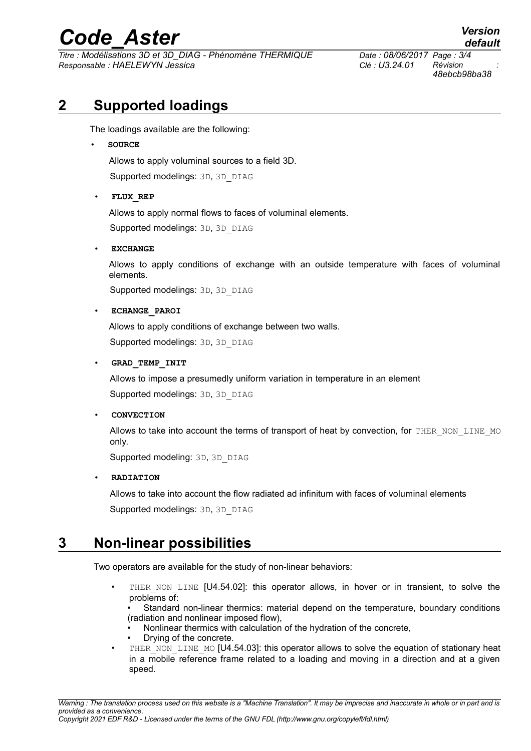## *Code\_Aster Version*

*Titre : Modélisations 3D et 3D\_DIAG - Phénomène THERMIQUE Date : 08/06/2017 Page : 3/4 Responsable : HAELEWYN Jessica Clé : U3.24.01 Révision :*

*48ebcb98ba38*

## **2 Supported loadings**

The loadings available are the following:

#### • **SOURCE**

Allows to apply voluminal sources to a field 3D.

Supported modelings: 3D, 3D\_DIAG

#### • **FLUX\_REP**

Allows to apply normal flows to faces of voluminal elements.

Supported modelings: 3D, 3D\_DIAG

#### • **EXCHANGE**

Allows to apply conditions of exchange with an outside temperature with faces of voluminal elements.

Supported modelings: 3D, 3D\_DIAG

#### • **ECHANGE\_PAROI**

Allows to apply conditions of exchange between two walls.

Supported modelings: 3D, 3D\_DIAG

#### • **GRAD\_TEMP\_INIT**

Allows to impose a presumedly uniform variation in temperature in an element Supported modelings: 3D, 3D\_DIAG

#### • **CONVECTION**

Allows to take into account the terms of transport of heat by convection, for THER\_NON\_LINE\_MO only.

Supported modeling: 3D, 3D\_DIAG

#### • **RADIATION**

Allows to take into account the flow radiated ad infinitum with faces of voluminal elements Supported modelings: 3D, 3D\_DIAG

## **3 Non-linear possibilities**

Two operators are available for the study of non-linear behaviors:

THER NON LINE [U4.54.02]: this operator allows, in hover or in transient, to solve the problems of:

• Standard non-linear thermics: material depend on the temperature, boundary conditions (radiation and nonlinear imposed flow),

- Nonlinear thermics with calculation of the hydration of the concrete,
- Drying of the concrete.
- THER\_NON\_LINE\_MO [U4.54.03]: this operator allows to solve the equation of stationary heat in a mobile reference frame related to a loading and moving in a direction and at a given speed.